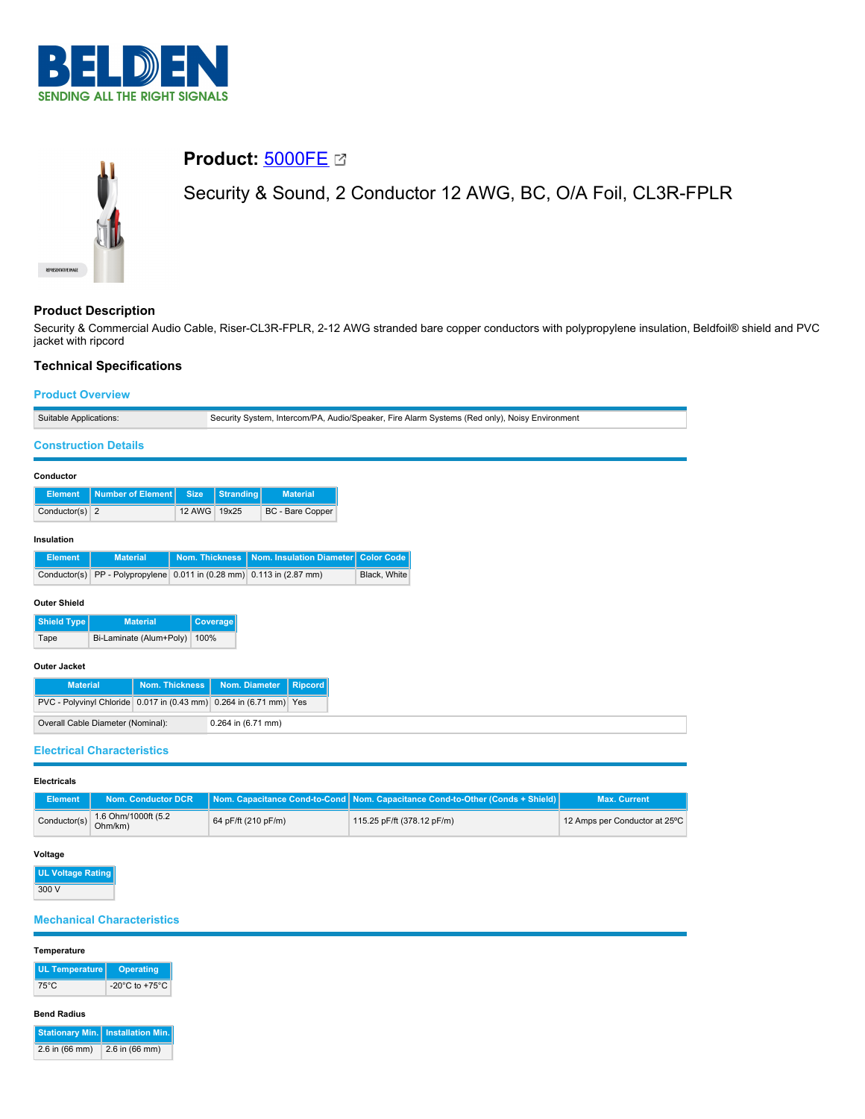



# **Product:** [5000FE](https://catalog.belden.com/index.cfm?event=pd&p=PF_5000FE&tab=downloads)

Security & Sound, 2 Conductor 12 AWG, BC, O/A Foil, CL3R-FPLR

# **Product Description**

Security & Commercial Audio Cable, Riser-CL3R-FPLR, 2-12 AWG stranded bare copper conductors with polypropylene insulation, Beldfoil® shield and PVC jacket with ripcord

# **Technical Specifications**

### **Product Overview**

| Suitable Applications:                     |                                                                    |                       | Security System, Intercom/PA, Audio/Speaker, Fire Alarm Systems (Red only), Noisy Environment |                          |  |  |  |  |
|--------------------------------------------|--------------------------------------------------------------------|-----------------------|-----------------------------------------------------------------------------------------------|--------------------------|--|--|--|--|
| <b>Construction Details</b>                |                                                                    |                       |                                                                                               |                          |  |  |  |  |
|                                            |                                                                    |                       |                                                                                               |                          |  |  |  |  |
| Conductor                                  |                                                                    |                       |                                                                                               |                          |  |  |  |  |
| <b>Element</b>                             | <b>Number of Element</b>                                           | <b>Size</b>           | <b>Stranding</b>                                                                              | <b>Material</b>          |  |  |  |  |
| Conductor(s) $2$                           |                                                                    | 12 AWG                | 19x25                                                                                         | <b>BC</b> - Bare Copper  |  |  |  |  |
| Insulation                                 |                                                                    |                       |                                                                                               |                          |  |  |  |  |
| <b>Element</b>                             | <b>Material</b>                                                    | <b>Nom. Thickness</b> |                                                                                               | Nom. Insulation Diameter |  |  |  |  |
| Conductor(s)                               | PP - Polypropylene 0.011 in (0.28 mm) 0.113 in (2.87 mm)           |                       |                                                                                               |                          |  |  |  |  |
| <b>Outer Shield</b>                        |                                                                    |                       |                                                                                               |                          |  |  |  |  |
|                                            |                                                                    |                       |                                                                                               |                          |  |  |  |  |
| Shield Type<br><b>Material</b><br>Coverage |                                                                    |                       |                                                                                               |                          |  |  |  |  |
| Bi-Laminate (Alum+Poly)<br>100%<br>Tape    |                                                                    |                       |                                                                                               |                          |  |  |  |  |
| <b>Outer Jacket</b>                        |                                                                    |                       |                                                                                               |                          |  |  |  |  |
| <b>Material</b>                            |                                                                    | <b>Nom. Thickness</b> | Nom. Diameter                                                                                 | <b>Ripcord</b>           |  |  |  |  |
|                                            | PVC - Polyvinyl Chloride 0.017 in (0.43 mm) 0.264 in (6.71 mm) Yes |                       |                                                                                               |                          |  |  |  |  |
|                                            | Overall Cable Diameter (Nominal):                                  |                       |                                                                                               | 0.264 in (6.71 mm)       |  |  |  |  |

**Electricals**

| Element      | Nom. Conductor DCR             |                     | Nom. Capacitance Cond-to-Cond   Nom. Capacitance Cond-to-Other (Conds + Shield) | <b>Max. Current</b>           |
|--------------|--------------------------------|---------------------|---------------------------------------------------------------------------------|-------------------------------|
| Conductor(s) | 1.6 Ohm/1000ft (5.2<br>Ohm/km) | 64 pF/ft (210 pF/m) | 115.25 pF/ft (378.12 pF/m)                                                      | 12 Amps per Conductor at 25°C |

## **Voltage**

**UL Voltage Rating** 300 V

# **Mechanical Characteristics**

# **Temperature UL Temperature Operating** 75°C -20°C to +75°C

#### **Bend Radius**

**Stationary Min. Installation Min.** 2.6 in (66 mm) 2.6 in (66 mm)